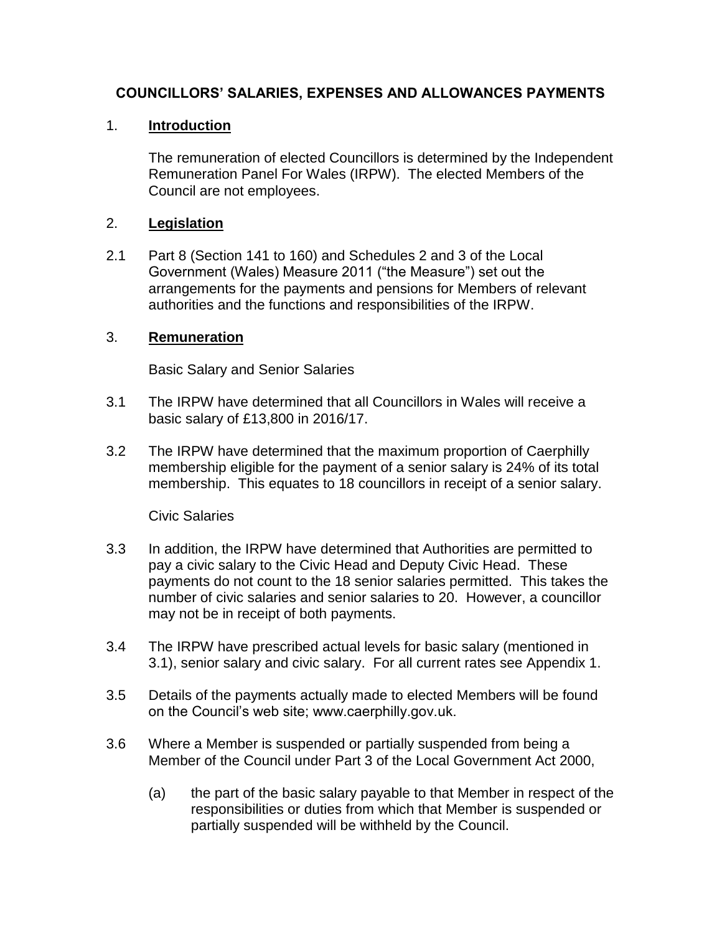### **COUNCILLORS' SALARIES, EXPENSES AND ALLOWANCES PAYMENTS**

### 1. **Introduction**

The remuneration of elected Councillors is determined by the Independent Remuneration Panel For Wales (IRPW). The elected Members of the Council are not employees.

#### 2. **Legislation**

2.1 Part 8 (Section 141 to 160) and Schedules 2 and 3 of the Local Government (Wales) Measure 2011 ("the Measure") set out the arrangements for the payments and pensions for Members of relevant authorities and the functions and responsibilities of the IRPW.

### 3. **Remuneration**

Basic Salary and Senior Salaries

- 3.1 The IRPW have determined that all Councillors in Wales will receive a basic salary of £13,800 in 2016/17.
- 3.2 The IRPW have determined that the maximum proportion of Caerphilly membership eligible for the payment of a senior salary is 24% of its total membership. This equates to 18 councillors in receipt of a senior salary.

#### Civic Salaries

- 3.3 In addition, the IRPW have determined that Authorities are permitted to pay a civic salary to the Civic Head and Deputy Civic Head. These payments do not count to the 18 senior salaries permitted. This takes the number of civic salaries and senior salaries to 20. However, a councillor may not be in receipt of both payments.
- 3.4 The IRPW have prescribed actual levels for basic salary (mentioned in 3.1), senior salary and civic salary. For all current rates see Appendix 1.
- 3.5 Details of the payments actually made to elected Members will be found on the Council's web site; www.caerphilly.gov.uk.
- 3.6 Where a Member is suspended or partially suspended from being a Member of the Council under Part 3 of the Local Government Act 2000,
	- (a) the part of the basic salary payable to that Member in respect of the responsibilities or duties from which that Member is suspended or partially suspended will be withheld by the Council.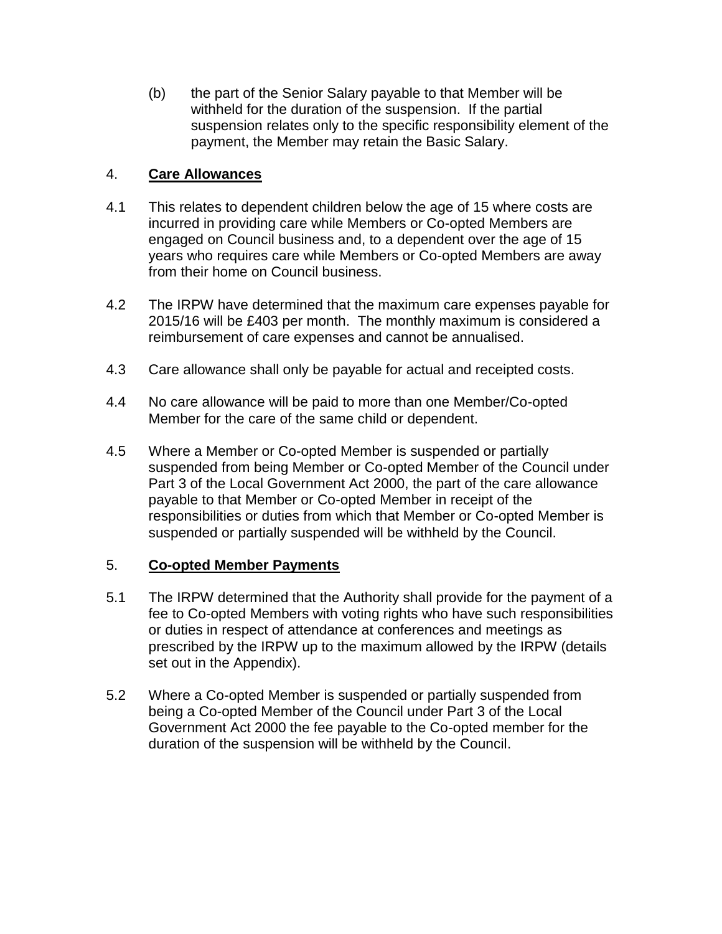(b) the part of the Senior Salary payable to that Member will be withheld for the duration of the suspension. If the partial suspension relates only to the specific responsibility element of the payment, the Member may retain the Basic Salary.

### 4. **Care Allowances**

- 4.1 This relates to dependent children below the age of 15 where costs are incurred in providing care while Members or Co-opted Members are engaged on Council business and, to a dependent over the age of 15 years who requires care while Members or Co-opted Members are away from their home on Council business.
- 4.2 The IRPW have determined that the maximum care expenses payable for 2015/16 will be £403 per month. The monthly maximum is considered a reimbursement of care expenses and cannot be annualised.
- 4.3 Care allowance shall only be payable for actual and receipted costs.
- 4.4 No care allowance will be paid to more than one Member/Co-opted Member for the care of the same child or dependent.
- 4.5 Where a Member or Co-opted Member is suspended or partially suspended from being Member or Co-opted Member of the Council under Part 3 of the Local Government Act 2000, the part of the care allowance payable to that Member or Co-opted Member in receipt of the responsibilities or duties from which that Member or Co-opted Member is suspended or partially suspended will be withheld by the Council.

#### 5. **Co-opted Member Payments**

- 5.1 The IRPW determined that the Authority shall provide for the payment of a fee to Co-opted Members with voting rights who have such responsibilities or duties in respect of attendance at conferences and meetings as prescribed by the IRPW up to the maximum allowed by the IRPW (details set out in the Appendix).
- 5.2 Where a Co-opted Member is suspended or partially suspended from being a Co-opted Member of the Council under Part 3 of the Local Government Act 2000 the fee payable to the Co-opted member for the duration of the suspension will be withheld by the Council.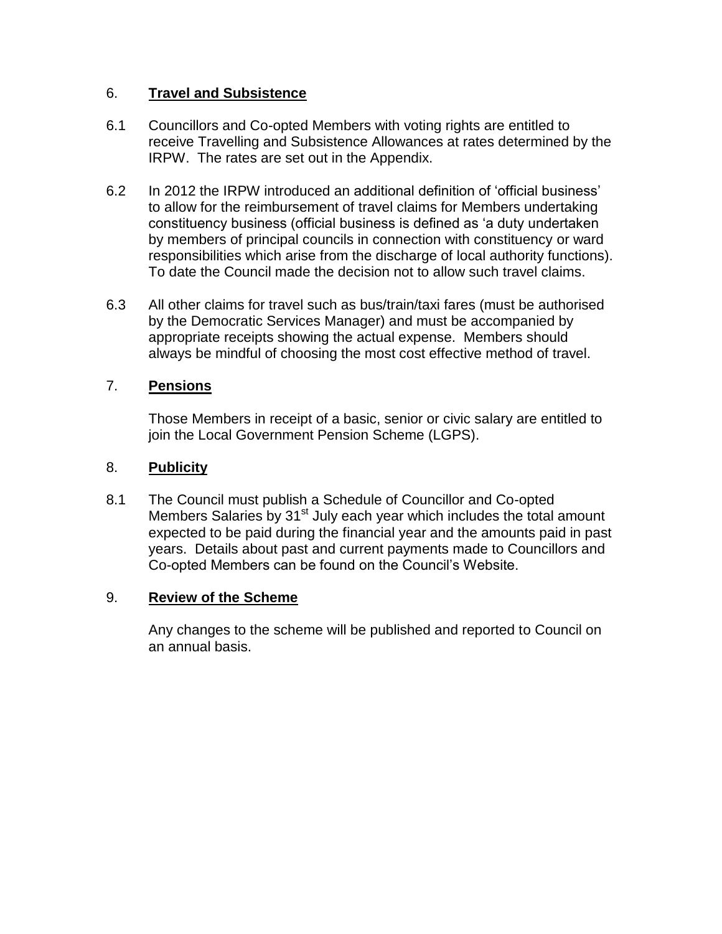### 6. **Travel and Subsistence**

- 6.1 Councillors and Co-opted Members with voting rights are entitled to receive Travelling and Subsistence Allowances at rates determined by the IRPW. The rates are set out in the Appendix.
- 6.2 In 2012 the IRPW introduced an additional definition of 'official business' to allow for the reimbursement of travel claims for Members undertaking constituency business (official business is defined as 'a duty undertaken by members of principal councils in connection with constituency or ward responsibilities which arise from the discharge of local authority functions). To date the Council made the decision not to allow such travel claims.
- 6.3 All other claims for travel such as bus/train/taxi fares (must be authorised by the Democratic Services Manager) and must be accompanied by appropriate receipts showing the actual expense. Members should always be mindful of choosing the most cost effective method of travel.

### 7. **Pensions**

Those Members in receipt of a basic, senior or civic salary are entitled to join the Local Government Pension Scheme (LGPS).

### 8. **Publicity**

8.1 The Council must publish a Schedule of Councillor and Co-opted Members Salaries by 31<sup>st</sup> July each year which includes the total amount expected to be paid during the financial year and the amounts paid in past years. Details about past and current payments made to Councillors and Co-opted Members can be found on the Council's Website.

#### 9. **Review of the Scheme**

Any changes to the scheme will be published and reported to Council on an annual basis.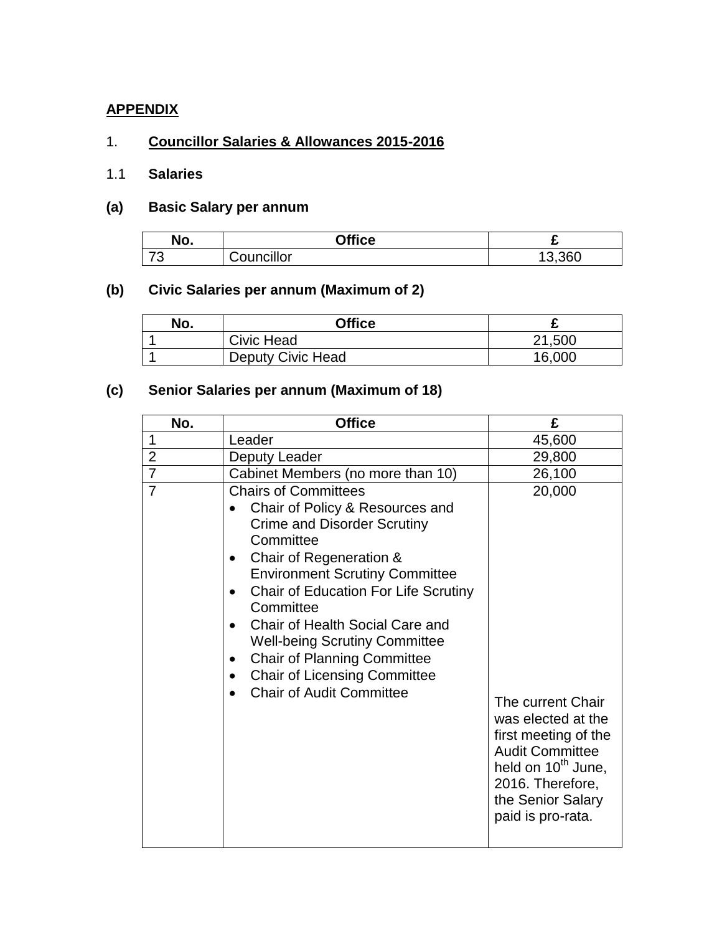## **APPENDIX**

### 1. **Councillor Salaries & Allowances 2015-2016**

## 1.1 **Salaries**

### **(a) Basic Salary per annum**

| No.                           | Office     | -      |
|-------------------------------|------------|--------|
| $\overline{\phantom{a}}$<br>J | Councillor | 13,360 |

# **(b) Civic Salaries per annum (Maximum of 2)**

| No. | <b>Office</b>     |        |
|-----|-------------------|--------|
|     | Civic Head        | 21,500 |
|     | Deputy Civic Head | 16,000 |

# **(c) Senior Salaries per annum (Maximum of 18)**

| No.            | <b>Office</b>                                                                                                                                                                                                                                                                                                                                                                                                                                                               | £                                                                                                                                                                                                   |
|----------------|-----------------------------------------------------------------------------------------------------------------------------------------------------------------------------------------------------------------------------------------------------------------------------------------------------------------------------------------------------------------------------------------------------------------------------------------------------------------------------|-----------------------------------------------------------------------------------------------------------------------------------------------------------------------------------------------------|
| $\mathbf 1$    | Leader                                                                                                                                                                                                                                                                                                                                                                                                                                                                      | 45,600                                                                                                                                                                                              |
| $\overline{2}$ | Deputy Leader                                                                                                                                                                                                                                                                                                                                                                                                                                                               | 29,800                                                                                                                                                                                              |
| $\overline{7}$ | Cabinet Members (no more than 10)                                                                                                                                                                                                                                                                                                                                                                                                                                           | 26,100                                                                                                                                                                                              |
| $\overline{7}$ | <b>Chairs of Committees</b><br>Chair of Policy & Resources and<br><b>Crime and Disorder Scrutiny</b><br>Committee<br>Chair of Regeneration &<br><b>Environment Scrutiny Committee</b><br><b>Chair of Education For Life Scrutiny</b><br>Committee<br>Chair of Health Social Care and<br>$\bullet$<br><b>Well-being Scrutiny Committee</b><br><b>Chair of Planning Committee</b><br>٠<br><b>Chair of Licensing Committee</b><br>$\bullet$<br><b>Chair of Audit Committee</b> | 20,000<br>The current Chair<br>was elected at the<br>first meeting of the<br><b>Audit Committee</b><br>held on 10 <sup>th</sup> June,<br>2016. Therefore,<br>the Senior Salary<br>paid is pro-rata. |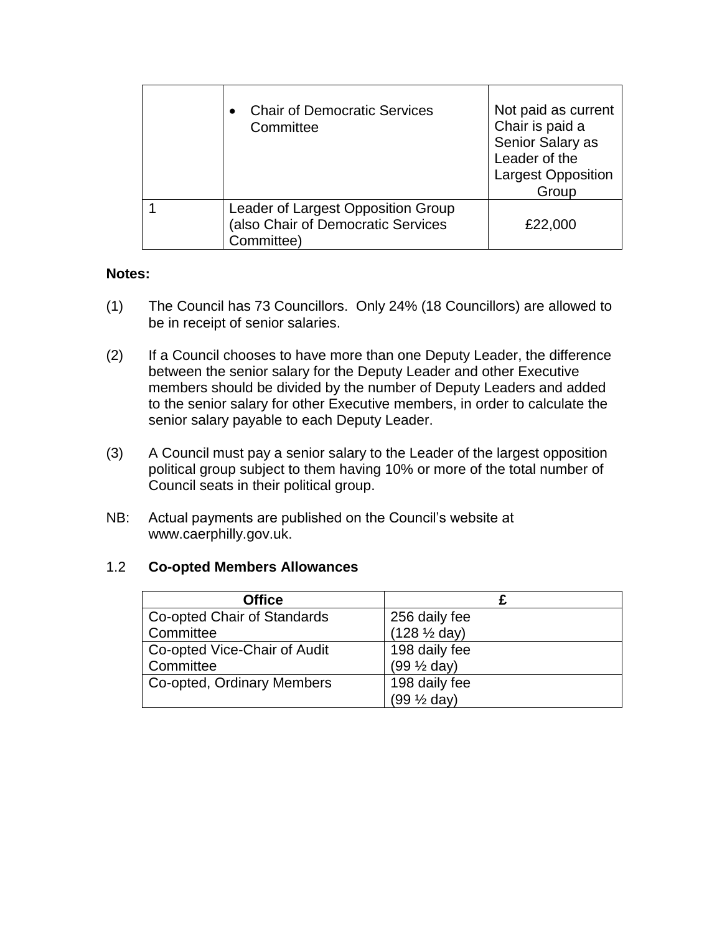| <b>Chair of Democratic Services</b><br>Committee                                       | Not paid as current<br>Chair is paid a<br>Senior Salary as<br>Leader of the<br><b>Largest Opposition</b><br>Group |
|----------------------------------------------------------------------------------------|-------------------------------------------------------------------------------------------------------------------|
| Leader of Largest Opposition Group<br>(also Chair of Democratic Services<br>Committee) | £22,000                                                                                                           |

#### **Notes:**

- (1) The Council has 73 Councillors. Only 24% (18 Councillors) are allowed to be in receipt of senior salaries.
- (2) If a Council chooses to have more than one Deputy Leader, the difference between the senior salary for the Deputy Leader and other Executive members should be divided by the number of Deputy Leaders and added to the senior salary for other Executive members, in order to calculate the senior salary payable to each Deputy Leader.
- (3) A Council must pay a senior salary to the Leader of the largest opposition political group subject to them having 10% or more of the total number of Council seats in their political group.
- NB: Actual payments are published on the Council's website at www.caerphilly.gov.uk.

#### 1.2 **Co-opted Members Allowances**

| <b>Office</b>                |                         |
|------------------------------|-------------------------|
| Co-opted Chair of Standards  | 256 daily fee           |
| Committee                    | $(128 \frac{1}{2}$ day) |
| Co-opted Vice-Chair of Audit | 198 daily fee           |
| Committee                    | $(99 \frac{1}{2}$ day)  |
| Co-opted, Ordinary Members   | 198 daily fee           |
|                              | $(99 \frac{1}{2}$ day)  |